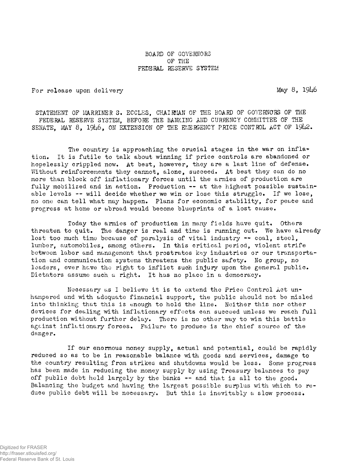BOARD OF GOVERNORS OF THE FEDERAL RESERVE SYSTEM

For release upon delivery methods of the May 8, 1946

STATEMENT OF MARRINER S. ECCLES, CHAIRMAN OF THE BOARD OF GOVERNORS OF THE FEDERAL RESERVE SYSTEM, BEFORE THE BANKING AND CURRENCY COMMITTEE OF THE SENATE, MAY 8, 1946, ON EXTENSION OF THE EMERGENCY PRICE CONTROL ACT OF 1942.

The country is approaching the crucial stages in the war on inflation» It is futile to talk about winning if price controls are abandoned or hopelessly crippled now. At best, however, they are a last line of defense. Without reinforcements they cannot, alone, succeed. At best they can do no more than block off inflationary forces until the armies of production are fully mobilized and in action. Production -- at the highest possible sustainable levels —• will decide whether we win or lose this struggle» If we lose, no one can tell what may happen. Plans for economic stability, for peace and progress at home or abroad would become blueprints of a lost cause.

Today the armies of production in many fields have quit. Others threaten to quit. The danger is real and time is running out. We have already lost too much time because of paralysis of vital industry -- coal, steel, lumber, automobiles, among others. In this critical period, violent strife between labor and management that prostrates key industries or our transportation and communication systems threatens the public safety. No group, no leaders, ever have the right to inflict such injury upon the general public. Dictators assume such a right. It has no place in a democracy.

Necessary as I believe it is to extend the Price Control Act unhampered and with adequate financial support, the public should not be misled into thinking that this is enough to hold the line. Neither this nor other devices for dealing with inflationary effects can succeed unless we reach full production without further delay. There is no other way to win this battle against inflationary forces» Failure to produce is the chief source of the danger.

If our enormous money supply, actual and potential, could be rapidly reduced so as to be in reasonable balance with goods and services, damage to the country resulting from strikes and shutdowns would be less. Some progress has been made in reducing the money supply by using Treasury balances to pay off public debt held largely by the banks  $-$  and that is all to the good. Balancing the budget and having the largest possible surplus with which to reduce public debt will be necessary. But this is inevitably a slow process.